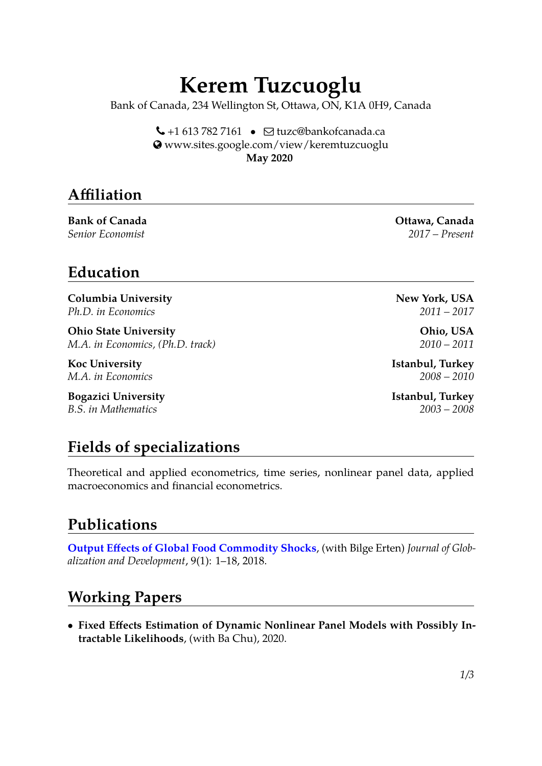# **Kerem Tuzcuoglu**

Bank of Canada, 234 Wellington St, Ottawa, ON, K1A 0H9, Canada

 $\bigcup$  +1 613 782 7161 •  $\bigcap$  [tuzc@bankofcanada.ca](mailto:tuzc@bankofcanada.ca) [www.sites.google.com/view/keremtuzcuoglu](http://www.sites.google.com/view/keremtuzcuoglu) **May 2020**

## **Affiliation**

**Bank of Canada Ottawa, Canada Ottawa, Canada** 

**Education**

**Columbia University** New York, USA *Ph.D. in Economics 2011 – 2017*

**Ohio State University Ohio, USA** *M.A. in Economics, (Ph.D. track) 2010 – 2011*

**Bogazici University Istanbul, Turkey** *B.S. in Mathematics 2003 – 2008*

# **Fields of specializations**

Theoretical and applied econometrics, time series, nonlinear panel data, applied macroeconomics and financial econometrics.

## **Publications**

**[Output Effects of Global Food Commodity Shocks](https://docs.google.com/viewer?a=v&pid=sites&srcid=ZGVmYXVsdGRvbWFpbnxlcnRlbmJpbGdlfGd4OjI0NWE3MTFiN2RhOWNlM2Y)**, (with Bilge Erten) *Journal of Globalization and Development*, 9(1): 1–18, 2018.

#### **Working Papers**

• **Fixed Effects Estimation of Dynamic Nonlinear Panel Models with Possibly Intractable Likelihoods**, (with Ba Chu), 2020.

*Senior Economist 2017 – Present*

**Koc University Istanbul, Turkey** *M.A. in Economics 2008 – 2010*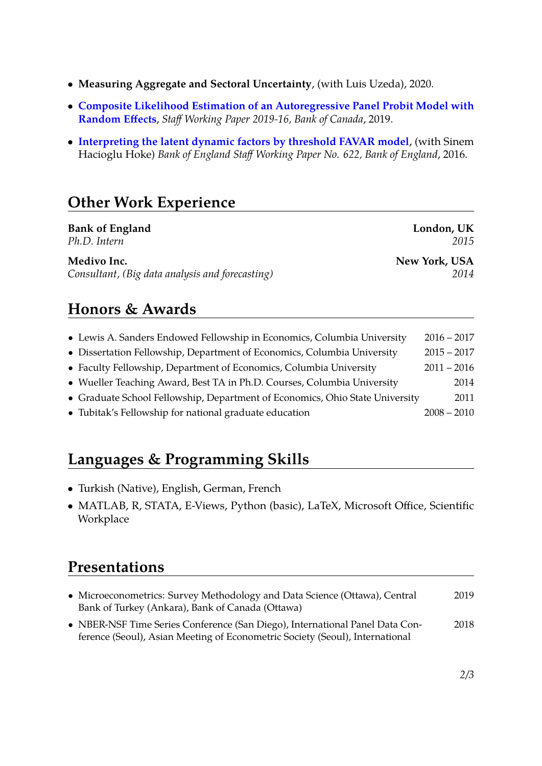- **Measuring Aggregate and Sectoral Uncertainty**, (with Luis Uzeda), 2020.
- **[Composite Likelihood Estimation of an Autoregressive Panel Probit Model with](https://www.bankofcanada.ca/wp-content/uploads/2019/05/swp2019-16.pdf) [Random Effects](https://www.bankofcanada.ca/wp-content/uploads/2019/05/swp2019-16.pdf)**, *Staff Working Paper 2019-16, Bank of Canada*, 2019.
- **[Interpreting the latent dynamic factors by threshold FAVAR model](https://www.bankofengland.co.uk/-/media/boe/files/working-paper/2016/interpreting-the-latent-dynamic-factors-by-threshold-favar-model.pdf?la=en&hash=31C290D5A5D26DAEB90848389D7878EE2641CFAC)**, (with Sinem Hacioglu Hoke) *Bank of England Staff Working Paper No. 622, Bank of England*, 2016.

## **Other Work Experience**

| <b>Bank of England</b>                          | London, UK    |
|-------------------------------------------------|---------------|
| Ph.D. Intern                                    | 2015          |
| Medivo Inc.                                     | New York, USA |
| Consultant, (Big data analysis and forecasting) | 2014          |

#### **Honors & Awards**

| • Lewis A. Sanders Endowed Fellowship in Economics, Columbia University      | $2016 - 2017$ |
|------------------------------------------------------------------------------|---------------|
| • Dissertation Fellowship, Department of Economics, Columbia University      | $2015 - 2017$ |
| • Faculty Fellowship, Department of Economics, Columbia University           | $2011 - 2016$ |
| • Wueller Teaching Award, Best TA in Ph.D. Courses, Columbia University      | 2014          |
| • Graduate School Fellowship, Department of Economics, Ohio State University | 2011          |
| • Tubitak's Fellowship for national graduate education                       | $2008 - 2010$ |

## **Languages & Programming Skills**

- Turkish (Native), English, German, French
- MATLAB, R, STATA, E-Views, Python (basic), LaTeX, Microsoft Office, Scientific **Workplace**

#### **Presentations**

- Microeconometrics: Survey Methodology and Data Science (Ottawa), Central 2019 Bank of Turkey (Ankara), Bank of Canada (Ottawa)
- NBER-NSF Time Series Conference (San Diego), International Panel Data Con- 2018 ference (Seoul), Asian Meeting of Econometric Society (Seoul), International